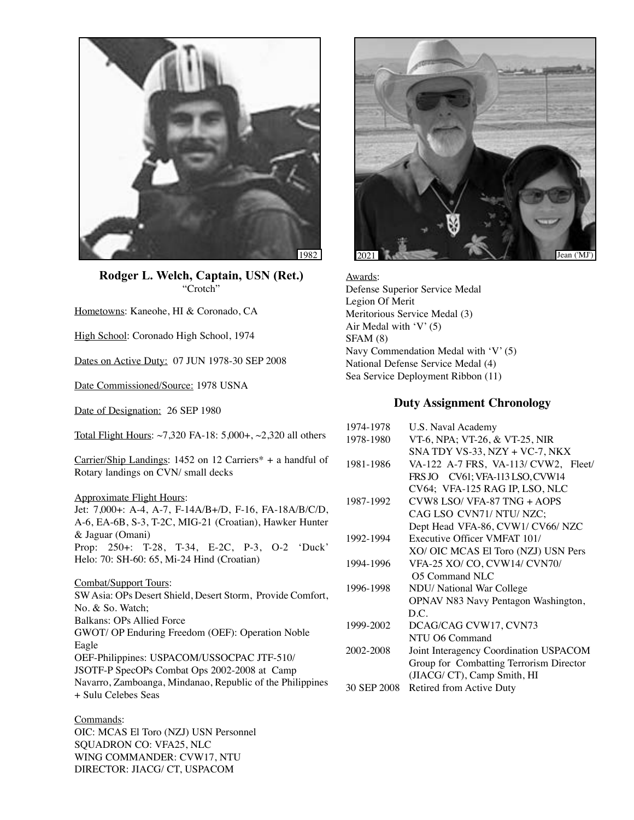

**Rodger L. Welch, Captain, USN (Ret.)** "Crotch"

Hometowns: Kaneohe, HI & Coronado, CA

High School: Coronado High School, 1974

Dates on Active Duty: 07 JUN 1978-30 SEP 2008

Date Commissioned/Source: 1978 USNA

Date of Designation: 26 SEP 1980

Total Flight Hours: ~7,320 FA-18: 5,000+, ~2,320 all others

Carrier/Ship Landings: 1452 on 12 Carriers\* + a handful of Rotary landings on CVN/ small decks

Approximate Flight Hours: Jet: 7,000+: A-4, A-7, F-14A/B+/D, F-16, FA-18A/B/C/D, A-6, EA-6B, S-3, T-2C, MIG-21 (Croatian), Hawker Hunter & Jaguar (Omani) Prop: 250+: T-28, T-34, E-2C, P-3, O-2 'Duck' Helo: 70: SH-60: 65, Mi-24 Hind (Croatian)

Combat/Support Tours: SW Asia: OPs Desert Shield, Desert Storm, Provide Comfort, No. & So. Watch; Balkans: OPs Allied Force GWOT/ OP Enduring Freedom (OEF): Operation Noble Eagle OEF-Philippines: USPACOM/USSOCPAC JTF-510/ JSOTF-P SpecOPs Combat Ops 2002-2008 at Camp Navarro, Zamboanga, Mindanao, Republic of the Philippines + Sulu Celebes Seas

Commands: OIC: MCAS El Toro (NZJ) USN Personnel SQUADRON CO: VFA25, NLC WING COMMANDER: CVW17, NTU DIRECTOR: JIACG/ CT, USPACOM



Awards: Defense Superior Service Medal Legion Of Merit Meritorious Service Medal (3) Air Medal with 'V' (5) SFAM (8) Navy Commendation Medal with 'V' (5) National Defense Service Medal (4) Sea Service Deployment Ribbon (11)

## **Duty Assignment Chronology**

| 1974-1978   | U.S. Naval Academy                      |
|-------------|-----------------------------------------|
| 1978-1980   | VT-6, NPA; VT-26, & VT-25, NIR          |
|             | SNA TDY VS-33, NZY + VC-7, NKX          |
| 1981-1986   | VA-122 A-7 FRS, VA-113/ CVW2, Fleet/    |
|             | FRS JO CV61; VFA-113 LSO, CVW14         |
|             | CV64; VFA-125 RAG IP, LSO, NLC          |
| 1987-1992   | $CVM8$ LSO/VFA-87 TNG + AOPS            |
|             | CAG LSO CVN71/ NTU/ NZC;                |
|             | Dept Head VFA-86, CVW1/ CV66/ NZC       |
| 1992-1994   | Executive Officer VMFAT 101/            |
|             | XO/ OIC MCAS El Toro (NZJ) USN Pers     |
| 1994-1996   | VFA-25 XO/ CO, CVW14/ CVN70/            |
|             | O5 Command NLC                          |
| 1996-1998   | NDU/ National War College               |
|             | OPNAV N83 Navy Pentagon Washington,     |
|             | D.C.                                    |
| 1999-2002   | DCAG/CAG CVW17, CVN73                   |
|             | NTU O6 Command                          |
| 2002-2008   | Joint Interagency Coordination USPACOM  |
|             | Group for Combatting Terrorism Director |
|             | (JIACG/ CT), Camp Smith, HI             |
| 30 SEP 2008 | Retired from Active Duty                |